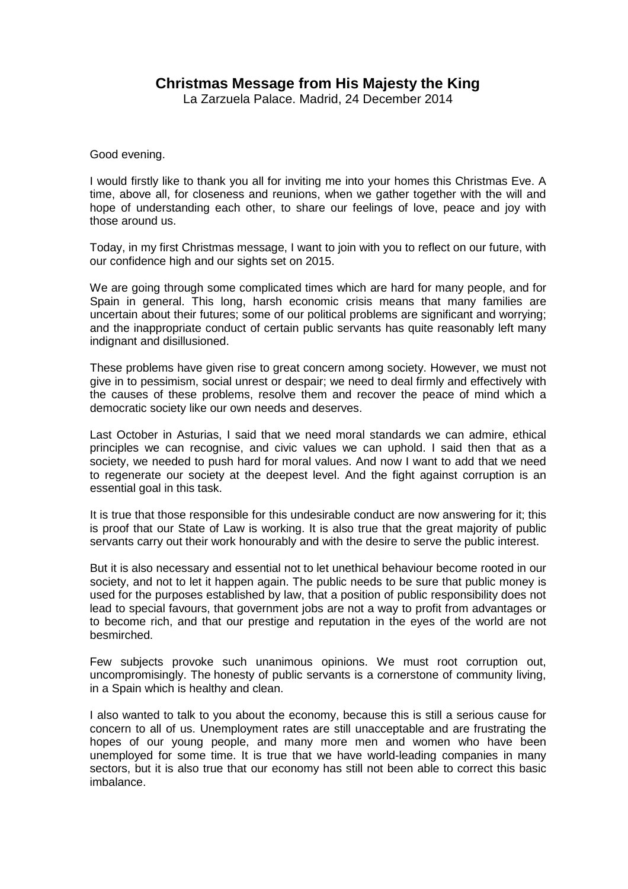## **Christmas Message from His Majesty the King**

La Zarzuela Palace. Madrid, 24 December 2014

Good evening.

I would firstly like to thank you all for inviting me into your homes this Christmas Eve. A time, above all, for closeness and reunions, when we gather together with the will and hope of understanding each other, to share our feelings of love, peace and joy with those around us.

Today, in my first Christmas message, I want to join with you to reflect on our future, with our confidence high and our sights set on 2015.

We are going through some complicated times which are hard for many people, and for Spain in general. This long, harsh economic crisis means that many families are uncertain about their futures; some of our political problems are significant and worrying; and the inappropriate conduct of certain public servants has quite reasonably left many indignant and disillusioned.

These problems have given rise to great concern among society. However, we must not give in to pessimism, social unrest or despair; we need to deal firmly and effectively with the causes of these problems, resolve them and recover the peace of mind which a democratic society like our own needs and deserves.

Last October in Asturias, I said that we need moral standards we can admire, ethical principles we can recognise, and civic values we can uphold. I said then that as a society, we needed to push hard for moral values. And now I want to add that we need to regenerate our society at the deepest level. And the fight against corruption is an essential goal in this task.

It is true that those responsible for this undesirable conduct are now answering for it; this is proof that our State of Law is working. It is also true that the great majority of public servants carry out their work honourably and with the desire to serve the public interest.

But it is also necessary and essential not to let unethical behaviour become rooted in our society, and not to let it happen again. The public needs to be sure that public money is used for the purposes established by law, that a position of public responsibility does not lead to special favours, that government jobs are not a way to profit from advantages or to become rich, and that our prestige and reputation in the eyes of the world are not besmirched.

Few subjects provoke such unanimous opinions. We must root corruption out, uncompromisingly. The honesty of public servants is a cornerstone of community living, in a Spain which is healthy and clean.

I also wanted to talk to you about the economy, because this is still a serious cause for concern to all of us. Unemployment rates are still unacceptable and are frustrating the hopes of our young people, and many more men and women who have been unemployed for some time. It is true that we have world-leading companies in many sectors, but it is also true that our economy has still not been able to correct this basic imbalance.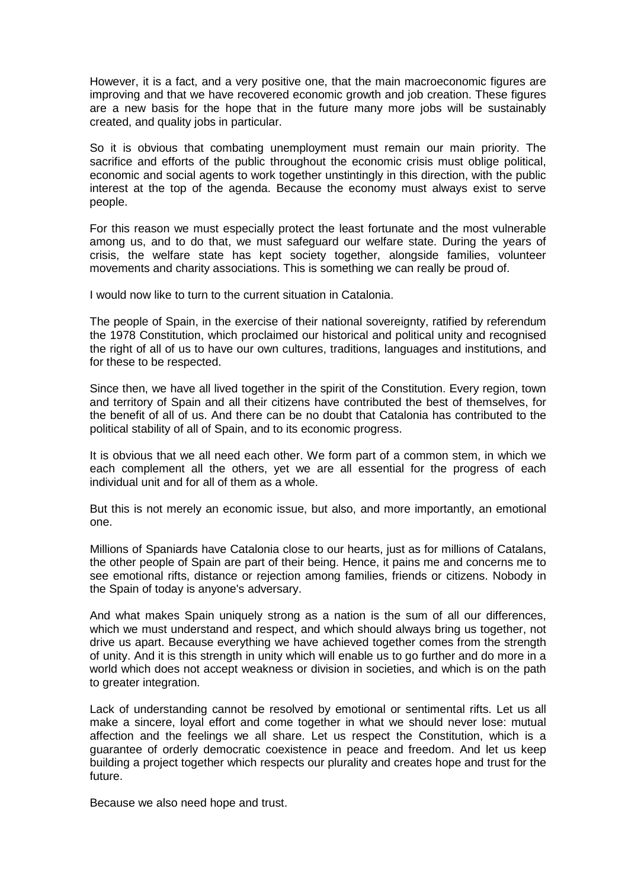However, it is a fact, and a very positive one, that the main macroeconomic figures are improving and that we have recovered economic growth and job creation. These figures are a new basis for the hope that in the future many more jobs will be sustainably created, and quality jobs in particular.

So it is obvious that combating unemployment must remain our main priority. The sacrifice and efforts of the public throughout the economic crisis must oblige political, economic and social agents to work together unstintingly in this direction, with the public interest at the top of the agenda. Because the economy must always exist to serve people.

For this reason we must especially protect the least fortunate and the most vulnerable among us, and to do that, we must safeguard our welfare state. During the years of crisis, the welfare state has kept society together, alongside families, volunteer movements and charity associations. This is something we can really be proud of.

I would now like to turn to the current situation in Catalonia.

The people of Spain, in the exercise of their national sovereignty, ratified by referendum the 1978 Constitution, which proclaimed our historical and political unity and recognised the right of all of us to have our own cultures, traditions, languages and institutions, and for these to be respected.

Since then, we have all lived together in the spirit of the Constitution. Every region, town and territory of Spain and all their citizens have contributed the best of themselves, for the benefit of all of us. And there can be no doubt that Catalonia has contributed to the political stability of all of Spain, and to its economic progress.

It is obvious that we all need each other. We form part of a common stem, in which we each complement all the others, yet we are all essential for the progress of each individual unit and for all of them as a whole.

But this is not merely an economic issue, but also, and more importantly, an emotional one.

Millions of Spaniards have Catalonia close to our hearts, just as for millions of Catalans, the other people of Spain are part of their being. Hence, it pains me and concerns me to see emotional rifts, distance or rejection among families, friends or citizens. Nobody in the Spain of today is anyone's adversary.

And what makes Spain uniquely strong as a nation is the sum of all our differences, which we must understand and respect, and which should always bring us together, not drive us apart. Because everything we have achieved together comes from the strength of unity. And it is this strength in unity which will enable us to go further and do more in a world which does not accept weakness or division in societies, and which is on the path to greater integration.

Lack of understanding cannot be resolved by emotional or sentimental rifts. Let us all make a sincere, loyal effort and come together in what we should never lose: mutual affection and the feelings we all share. Let us respect the Constitution, which is a guarantee of orderly democratic coexistence in peace and freedom. And let us keep building a project together which respects our plurality and creates hope and trust for the future.

Because we also need hope and trust.